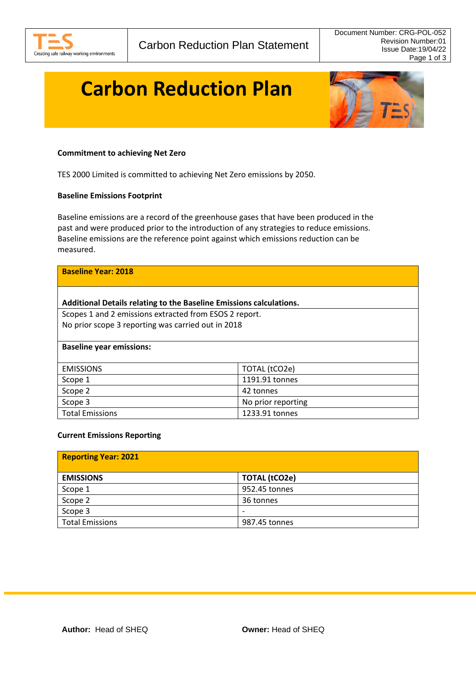

# **Carbon Reduction Plan**



# **Commitment to achieving Net Zero**

TES 2000 Limited is committed to achieving Net Zero emissions by 2050.

#### **Baseline Emissions Footprint**

Baseline emissions are a record of the greenhouse gases that have been produced in the past and were produced prior to the introduction of any strategies to reduce emissions. Baseline emissions are the reference point against which emissions reduction can be measured.

| <b>Baseline Year: 2018</b>                                          |                    |  |
|---------------------------------------------------------------------|--------------------|--|
| Additional Details relating to the Baseline Emissions calculations. |                    |  |
| Scopes 1 and 2 emissions extracted from ESOS 2 report.              |                    |  |
| No prior scope 3 reporting was carried out in 2018                  |                    |  |
|                                                                     |                    |  |
| <b>Baseline year emissions:</b>                                     |                    |  |
|                                                                     |                    |  |
| <b>EMISSIONS</b>                                                    | TOTAL (tCO2e)      |  |
| Scope 1                                                             | 1191.91 tonnes     |  |
| Scope 2                                                             | 42 tonnes          |  |
| Scope 3                                                             | No prior reporting |  |
| <b>Total Emissions</b>                                              | 1233.91 tonnes     |  |

#### **Current Emissions Reporting**

| <b>Reporting Year: 2021</b> |                          |
|-----------------------------|--------------------------|
| <b>EMISSIONS</b>            | <b>TOTAL (tCO2e)</b>     |
| Scope 1                     | 952.45 tonnes            |
| Scope 2                     | 36 tonnes                |
| Scope 3                     | $\overline{\phantom{0}}$ |
| <b>Total Emissions</b>      | 987.45 tonnes            |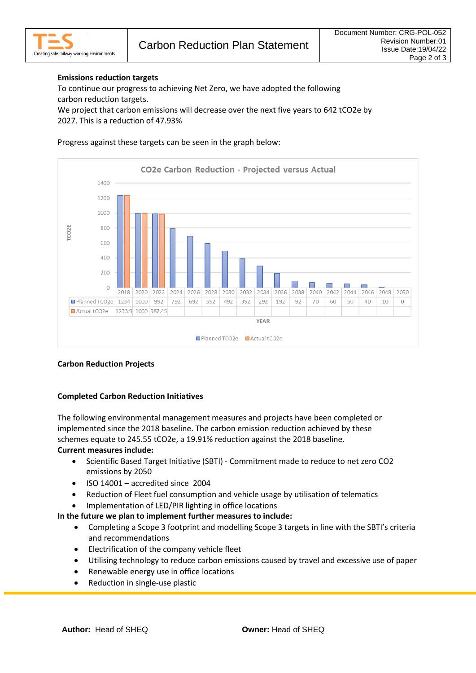# **Emissions reduction targets**

To continue our progress to achieving Net Zero, we have adopted the following carbon reduction targets.

We project that carbon emissions will decrease over the next five years to 642 tCO2e by 2027. This is a reduction of 47.93%

### Progress against these targets can be seen in the graph below:



# **Carbon Reduction Projects**

# **Completed Carbon Reduction Initiatives**

The following environmental management measures and projects have been completed or implemented since the 2018 baseline. The carbon emission reduction achieved by these schemes equate to 245.55 tCO2e, a 19.91% reduction against the 2018 baseline. **Current measures include:**

- Scientific Based Target Initiative (SBTI) Commitment made to reduce to net zero CO2 emissions by 2050
- ISO 14001 accredited since 2004
- Reduction of Fleet fuel consumption and vehicle usage by utilisation of telematics
- Implementation of LED/PIR lighting in office locations

# **In the future we plan to implement further measures to include:**

- Completing a Scope 3 footprint and modelling Scope 3 targets in line with the SBTI's criteria and recommendations
- Electrification of the company vehicle fleet
- Utilising technology to reduce carbon emissions caused by travel and excessive use of paper
- Renewable energy use in office locations
- Reduction in single-use plastic